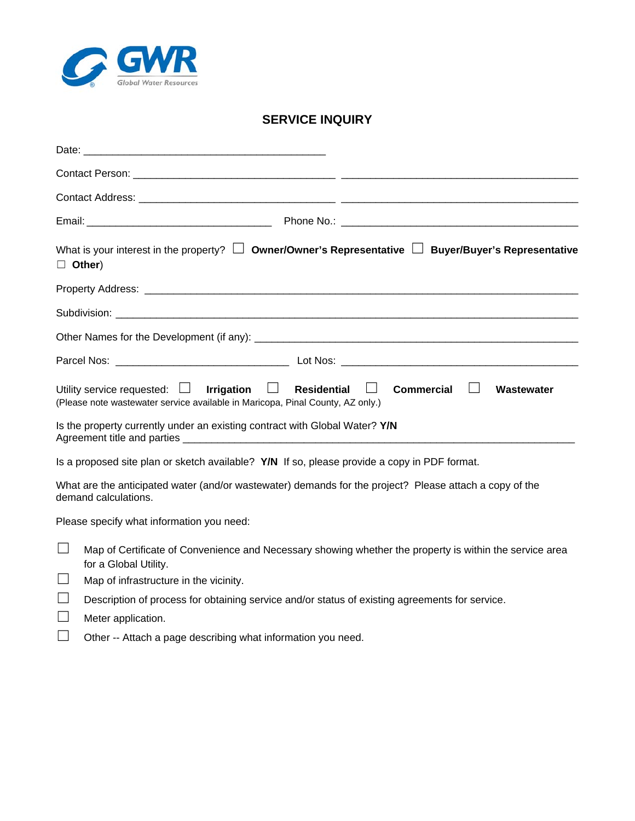

## **SERVICE INQUIRY**

| Date:         |                                                                                                                                                                                      |
|---------------|--------------------------------------------------------------------------------------------------------------------------------------------------------------------------------------|
|               |                                                                                                                                                                                      |
|               |                                                                                                                                                                                      |
|               |                                                                                                                                                                                      |
| $\Box$ Other) | What is your interest in the property? $\Box$ Owner/Owner's Representative $\Box$ Buyer/Buyer's Representative                                                                       |
|               |                                                                                                                                                                                      |
|               |                                                                                                                                                                                      |
|               |                                                                                                                                                                                      |
|               |                                                                                                                                                                                      |
|               | Utility service requested: $\Box$ Irrigation $\Box$ Residential<br><b>Commercial</b><br>Wastewater<br>(Please note wastewater service available in Maricopa, Pinal County, AZ only.) |
|               | Is the property currently under an existing contract with Global Water? Y/N                                                                                                          |
|               | Is a proposed site plan or sketch available? Y/N If so, please provide a copy in PDF format.                                                                                         |
|               | What are the anticipated water (and/or wastewater) demands for the project? Please attach a copy of the<br>demand calculations.                                                      |
|               | Please specify what information you need:                                                                                                                                            |
|               | Map of Certificate of Convenience and Necessary showing whether the property is within the service area<br>for a Global Utility.                                                     |
|               | Map of infrastructure in the vicinity.                                                                                                                                               |
|               | Description of process for obtaining service and/or status of existing agreements for service.                                                                                       |

- □ Meter application.
- ☐ Other -- Attach a page describing what information you need.